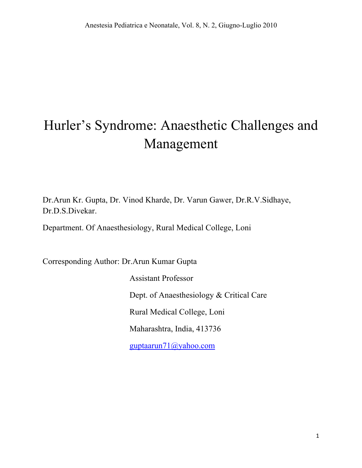# Hurler's Syndrome: Anaesthetic Challenges and Management

Dr.Arun Kr. Gupta, Dr. Vinod Kharde, Dr. Varun Gawer, Dr.R.V.Sidhaye, Dr.D.S.Divekar.

Department. Of Anaesthesiology, Rural Medical College, Loni

Corresponding Author: Dr.Arun Kumar Gupta

 Assistant Professor Dept. of Anaesthesiology & Critical Care Rural Medical College, Loni Maharashtra, India, 413736 guptaarun71@yahoo.com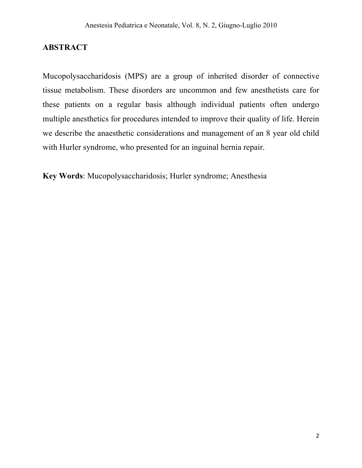## **ABSTRACT**

Mucopolysaccharidosis (MPS) are a group of inherited disorder of connective tissue metabolism. These disorders are uncommon and few anesthetists care for these patients on a regular basis although individual patients often undergo multiple anesthetics for procedures intended to improve their quality of life. Herein we describe the anaesthetic considerations and management of an 8 year old child with Hurler syndrome, who presented for an inguinal hernia repair.

**Key Words**: Mucopolysaccharidosis; Hurler syndrome; Anesthesia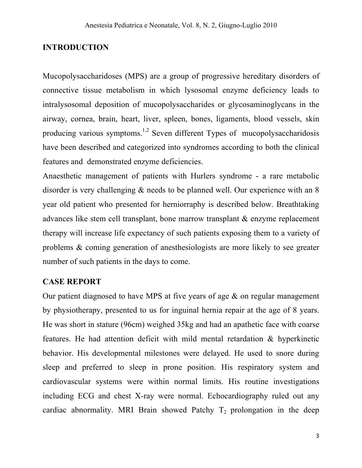# **INTRODUCTION**

Mucopolysaccharidoses (MPS) are a group of progressive hereditary disorders of connective tissue metabolism in which lysosomal enzyme deficiency leads to intralysosomal deposition of mucopolysaccharides or glycosaminoglycans in the airway, cornea, brain, heart, liver, spleen, bones, ligaments, blood vessels, skin producing various symptoms.<sup>1,2</sup> Seven different Types of mucopolysaccharidosis have been described and categorized into syndromes according to both the clinical features and demonstrated enzyme deficiencies.

Anaesthetic management of patients with Hurlers syndrome - a rare metabolic disorder is very challenging & needs to be planned well. Our experience with an 8 year old patient who presented for herniorraphy is described below. Breathtaking advances like stem cell transplant, bone marrow transplant & enzyme replacement therapy will increase life expectancy of such patients exposing them to a variety of problems & coming generation of anesthesiologists are more likely to see greater number of such patients in the days to come.

## **CASE REPORT**

Our patient diagnosed to have MPS at five years of age & on regular management by physiotherapy, presented to us for inguinal hernia repair at the age of 8 years. He was short in stature (96cm) weighed 35kg and had an apathetic face with coarse features. He had attention deficit with mild mental retardation & hyperkinetic behavior. His developmental milestones were delayed. He used to snore during sleep and preferred to sleep in prone position. His respiratory system and cardiovascular systems were within normal limits. His routine investigations including ECG and chest X-ray were normal. Echocardiography ruled out any cardiac abnormality. MRI Brain showed Patchy  $T_2$  prolongation in the deep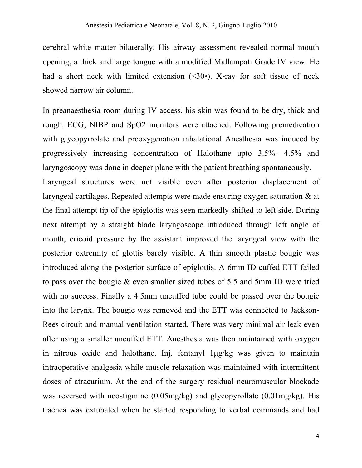cerebral white matter bilaterally. His airway assessment revealed normal mouth opening, a thick and large tongue with a modified Mallampati Grade IV view. He had a short neck with limited extension  $(\leq 30\degree)$ . X-ray for soft tissue of neck showed narrow air column.

In preanaesthesia room during IV access, his skin was found to be dry, thick and rough. ECG, NIBP and SpO2 monitors were attached. Following premedication with glycopyrrolate and preoxygenation inhalational Anesthesia was induced by progressively increasing concentration of Halothane upto 3.5%- 4.5% and laryngoscopy was done in deeper plane with the patient breathing spontaneously. Laryngeal structures were not visible even after posterior displacement of laryngeal cartilages. Repeated attempts were made ensuring oxygen saturation & at the final attempt tip of the epiglottis was seen markedly shifted to left side. During next attempt by a straight blade laryngoscope introduced through left angle of mouth, cricoid pressure by the assistant improved the laryngeal view with the posterior extremity of glottis barely visible. A thin smooth plastic bougie was introduced along the posterior surface of epiglottis. A 6mm ID cuffed ETT failed to pass over the bougie & even smaller sized tubes of 5.5 and 5mm ID were tried with no success. Finally a 4.5mm uncuffed tube could be passed over the bougie into the larynx. The bougie was removed and the ETT was connected to Jackson-Rees circuit and manual ventilation started. There was very minimal air leak even after using a smaller uncuffed ETT. Anesthesia was then maintained with oxygen in nitrous oxide and halothane. Inj. fentanyl 1µg/kg was given to maintain intraoperative analgesia while muscle relaxation was maintained with intermittent doses of atracurium. At the end of the surgery residual neuromuscular blockade was reversed with neostigmine (0.05mg/kg) and glycopyrollate (0.01mg/kg). His trachea was extubated when he started responding to verbal commands and had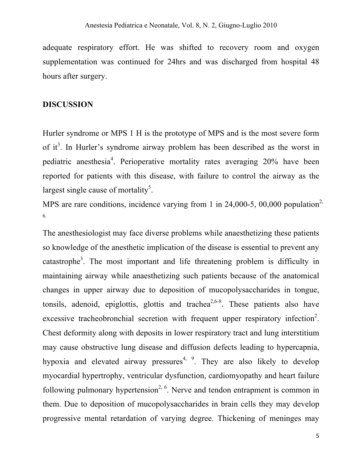adequate respiratory effort. He was shifted to recovery room and oxygen supplementation was continued for 24hrs and was discharged from hospital 48 hours after surgery.

#### **DISCUSSION**

Hurler syndrome or MPS 1 H is the prototype of MPS and is the most severe form of it<sup>3</sup>. In Hurler's syndrome airway problem has been described as the worst in pediatric anesthesia<sup>4</sup>. Perioperative mortality rates averaging 20% have been reported for patients with this disease, with failure to control the airway as the largest single cause of mortality<sup>5</sup>.

MPS are rare conditions, incidence varying from 1 in 24,000-5, 00,000 population<sup>2,</sup> 6.

The anesthesiologist may face diverse problems while anaesthetizing these patients so knowledge of the anesthetic implication of the disease is essential to prevent any catastrophe<sup>3</sup>. The most important and life threatening problem is difficulty in maintaining airway while anaesthetizing such patients because of the anatomical changes in upper airway due to deposition of mucopolysaccharides in tongue, tonsils, adenoid, epiglottis, glottis and trachea<sup>2,6-8</sup>. These patients also have excessive tracheobronchial secretion with frequent upper respiratory infection<sup>2</sup>. Chest deformity along with deposits in lower respiratory tract and lung interstitium may cause obstructive lung disease and diffusion defects leading to hypercapnia, hypoxia and elevated airway pressures<sup>4, 9</sup>. They are also likely to develop myocardial hypertrophy, ventricular dysfunction, cardiomyopathy and heart failure following pulmonary hypertension<sup>2, 6</sup>. Nerve and tendon entrapment is common in them. Due to deposition of mucopolysaccharides in brain cells they may develop progressive mental retardation of varying degree. Thickening of meninges may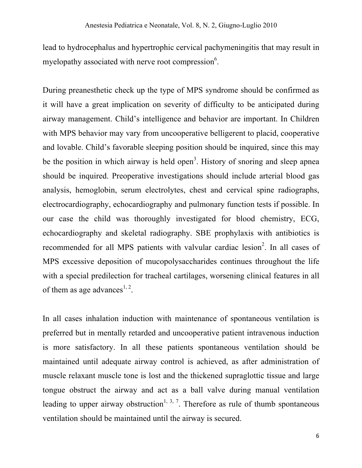lead to hydrocephalus and hypertrophic cervical pachymeningitis that may result in myelopathy associated with nerve root compression $6$ .

During preanesthetic check up the type of MPS syndrome should be confirmed as it will have a great implication on severity of difficulty to be anticipated during airway management. Child's intelligence and behavior are important. In Children with MPS behavior may vary from uncooperative belligerent to placid, cooperative and lovable. Child's favorable sleeping position should be inquired, since this may be the position in which airway is held open<sup>3</sup>. History of snoring and sleep apnea should be inquired. Preoperative investigations should include arterial blood gas analysis, hemoglobin, serum electrolytes, chest and cervical spine radiographs, electrocardiography, echocardiography and pulmonary function tests if possible. In our case the child was thoroughly investigated for blood chemistry, ECG, echocardiography and skeletal radiography. SBE prophylaxis with antibiotics is recommended for all MPS patients with valvular cardiac lesion<sup>2</sup>. In all cases of MPS excessive deposition of mucopolysaccharides continues throughout the life with a special predilection for tracheal cartilages, worsening clinical features in all of them as age advances<sup>1, 2</sup>.

In all cases inhalation induction with maintenance of spontaneous ventilation is preferred but in mentally retarded and uncooperative patient intravenous induction is more satisfactory. In all these patients spontaneous ventilation should be maintained until adequate airway control is achieved, as after administration of muscle relaxant muscle tone is lost and the thickened supraglottic tissue and large tongue obstruct the airway and act as a ball valve during manual ventilation leading to upper airway obstruction<sup>1, 3, 7</sup>. Therefore as rule of thumb spontaneous ventilation should be maintained until the airway is secured.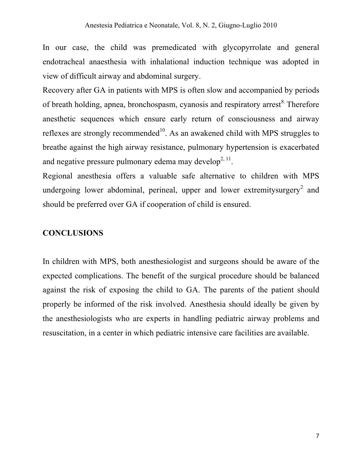In our case, the child was premedicated with glycopyrrolate and general endotracheal anaesthesia with inhalational induction technique was adopted in view of difficult airway and abdominal surgery.

Recovery after GA in patients with MPS is often slow and accompanied by periods of breath holding, apnea, bronchospasm, cyanosis and respiratory arrest<sup>8</sup>. Therefore anesthetic sequences which ensure early return of consciousness and airway reflexes are strongly recommended<sup>10</sup>. As an awakened child with MPS struggles to breathe against the high airway resistance, pulmonary hypertension is exacerbated and negative pressure pulmonary edema may develop<sup>2, 11</sup>.

Regional anesthesia offers a valuable safe alternative to children with MPS undergoing lower abdominal, perineal, upper and lower extremitysurgery<sup>2</sup> and should be preferred over GA if cooperation of child is ensured.

## **CONCLUSIONS**

In children with MPS, both anesthesiologist and surgeons should be aware of the expected complications. The benefit of the surgical procedure should be balanced against the risk of exposing the child to GA. The parents of the patient should properly be informed of the risk involved. Anesthesia should ideally be given by the anesthesiologists who are experts in handling pediatric airway problems and resuscitation, in a center in which pediatric intensive care facilities are available.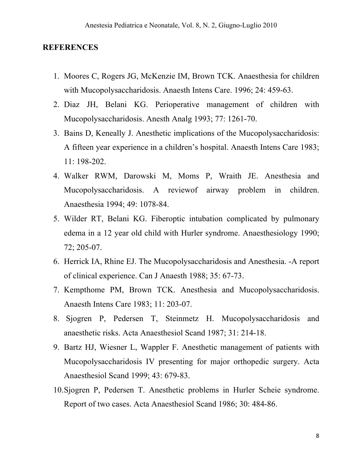#### **REFERENCES**

- 1. Moores C, Rogers JG, McKenzie IM, Brown TCK. Anaesthesia for children with Mucopolysaccharidosis. Anaesth Intens Care. 1996; 24: 459-63.
- 2. Diaz JH, Belani KG. Perioperative management of children with Mucopolysaccharidosis. Anesth Analg 1993; 77: 1261-70.
- 3. Bains D, Keneally J. Anesthetic implications of the Mucopolysaccharidosis: A fifteen year experience in a children's hospital. Anaesth Intens Care 1983; 11: 198-202.
- 4. Walker RWM, Darowski M, Moms P, Wraith JE. Anesthesia and Mucopolysaccharidosis. A reviewof airway problem in children. Anaesthesia 1994; 49: 1078-84.
- 5. Wilder RT, Belani KG. Fiberoptic intubation complicated by pulmonary edema in a 12 year old child with Hurler syndrome. Anaesthesiology 1990; 72; 205-07.
- 6. Herrick IA, Rhine EJ. The Mucopolysaccharidosis and Anesthesia. -A report of clinical experience. Can J Anaesth 1988; 35: 67-73.
- 7. Kempthome PM, Brown TCK. Anesthesia and Mucopolysaccharidosis. Anaesth Intens Care 1983; 11: 203-07.
- 8. Sjogren P, Pedersen T, Steinmetz H. Mucopolysaccharidosis and anaesthetic risks. Acta Anaesthesiol Scand 1987; 31: 214-18.
- 9. Bartz HJ, Wiesner L, Wappler F. Anesthetic management of patients with Mucopolysaccharidosis IV presenting for major orthopedic surgery. Acta Anaesthesiol Scand 1999; 43: 679-83.
- 10.Sjogren P, Pedersen T. Anesthetic problems in Hurler Scheie syndrome. Report of two cases. Acta Anaesthesiol Scand 1986; 30: 484-86.